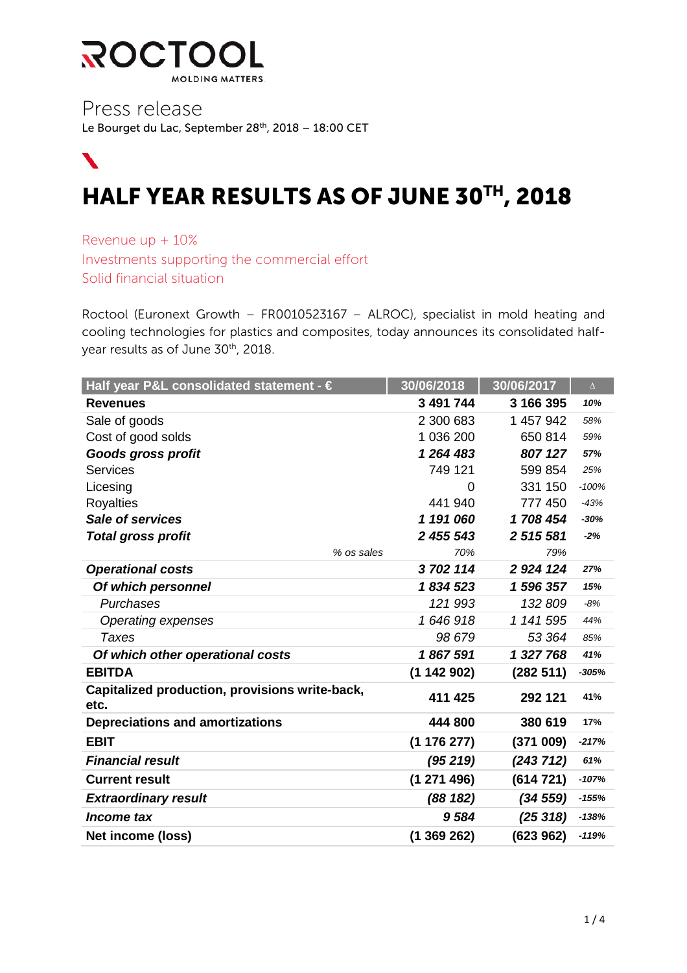

Press release Le Bourget du Lac, September 28<sup>th</sup>, 2018 - 18:00 CET

# $\blacktriangledown$ HALF YEAR RESULTS AS OF JUNE 30TH, 2018

Revenue up + 10% Investments supporting the commercial effort Solid financial situation

Roctool (Euronext Growth – FR0010523167 – ALROC), specialist in mold heating and cooling technologies for plastics and composites, today announces its consolidated halfyear results as of June 30<sup>th</sup>, 2018.

| Half year P&L consolidated statement - €               | 30/06/2018  | 30/06/2017  | $\Delta$ |
|--------------------------------------------------------|-------------|-------------|----------|
| <b>Revenues</b>                                        | 3 491 744   | 3 166 395   | 10%      |
| Sale of goods                                          | 2 300 683   | 1 457 942   | 58%      |
| Cost of good solds                                     | 1 036 200   | 650 814     | 59%      |
| <b>Goods gross profit</b>                              | 1 264 483   | 807 127     | 57%      |
| Services                                               | 749 121     | 599 854     | 25%      |
| Licesing                                               | 0           | 331 150     | $-100%$  |
| <b>Royalties</b>                                       | 441 940     | 777 450     | $-43%$   |
| <b>Sale of services</b>                                | 1 191 060   | 1708454     | $-30%$   |
| <b>Total gross profit</b>                              | 2 455 543   | 2 515 581   | $-2%$    |
| % os sales                                             | 70%         | 79%         |          |
| <b>Operational costs</b>                               | 3702114     | 2 9 24 1 24 | 27%      |
| Of which personnel                                     | 1834523     | 1 596 357   | 15%      |
| Purchases                                              | 121993      | 132 809     | $-8%$    |
| Operating expenses                                     | 1646918     | 1 141 595   | 44%      |
| <b>Taxes</b>                                           | 98 679      | 53 364      | 85%      |
| Of which other operational costs                       | 1867591     | 1 327 768   | 41%      |
| <b>EBITDA</b>                                          | (1142902)   | (282 511)   | $-305%$  |
| Capitalized production, provisions write-back,<br>etc. | 411 425     | 292 121     | 41%      |
| <b>Depreciations and amortizations</b>                 | 444 800     | 380 619     | 17%      |
| <b>EBIT</b>                                            | (1176277)   | (371009)    | $-217%$  |
| <b>Financial result</b>                                | (95219)     | (243 712)   | 61%      |
| <b>Current result</b>                                  | (1271496)   | (614721)    | $-107%$  |
| <b>Extraordinary result</b>                            | (88182)     | (34559)     | $-155%$  |
| Income tax                                             | 9584        | (25318)     | $-138%$  |
| Net income (loss)                                      | (1 369 262) | (623962)    | $-119%$  |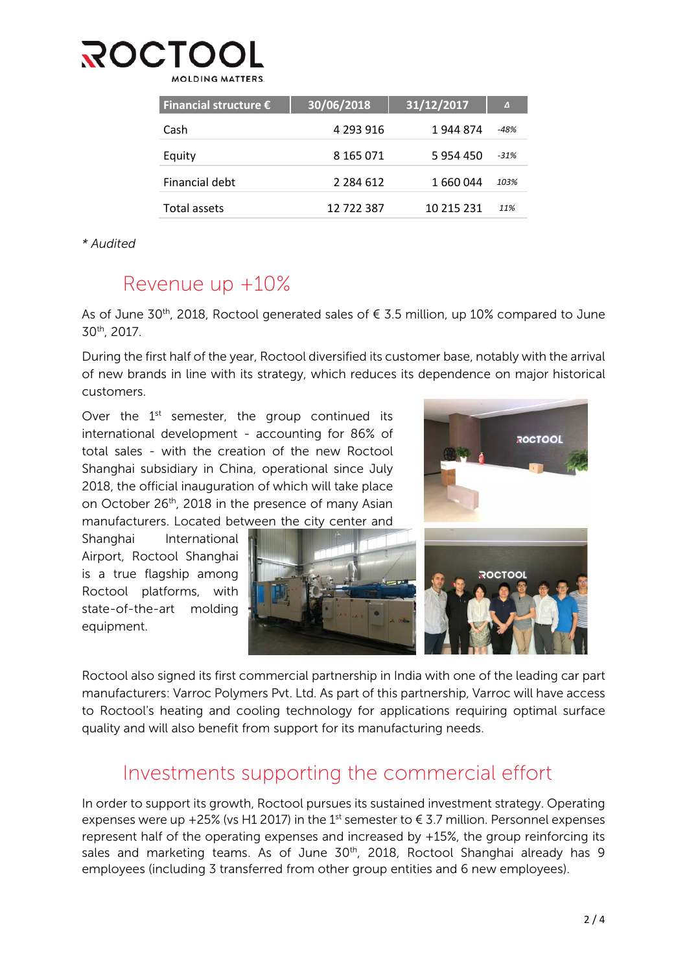### ROCT MOLDING MATTERS

| Financial structure $\epsilon$ | 30/06/2018    | $\sqrt{31/12/2017}$ | $\Delta$ |
|--------------------------------|---------------|---------------------|----------|
| Cash                           | 4 293 916     | 1 944 874           | $-48%$   |
| Equity                         | 8 165 071     | 5 9 5 4 4 5 0       | $-31%$   |
| Financial debt                 | 2 2 8 4 6 1 2 | 1 660 044           | 103%     |
| Total assets                   | 12 722 387    | 10 215 231          | 11%      |

*\* Audited*

### Revenue up +10%

As of June 30<sup>th</sup>, 2018, Roctool generated sales of  $\epsilon$  3.5 million, up 10% compared to June 30th, 2017.

During the first half of the year, Roctool diversified its customer base, notably with the arrival of new brands in line with its strategy, which reduces its dependence on major historical customers.

Over the  $1<sup>st</sup>$  semester, the group continued its international development - accounting for 86% of total sales - with the creation of the new Roctool Shanghai subsidiary in China, operational since July 2018, the official inauguration of which will take place on October 26<sup>th</sup>, 2018 in the presence of many Asian manufacturers. Located between the city center and

Shanghai International Airport, Roctool Shanghai is a true flagship among Roctool platforms, with state-of-the-art molding equipment.



Roctool also signed its first commercial partnership in India with one of the leading car part manufacturers: Varroc Polymers Pvt. Ltd. As part of this partnership, Varroc will have access to Roctool's heating and cooling technology for applications requiring optimal surface quality and will also benefit from support for its manufacturing needs.

### Investments supporting the commercial effort

In order to support its growth, Roctool pursues its sustained investment strategy. Operating expenses were up +25% (vs H1 2017) in the 1<sup>st</sup> semester to  $\epsilon$  3.7 million. Personnel expenses represent half of the operating expenses and increased by +15%, the group reinforcing its sales and marketing teams. As of June 30<sup>th</sup>, 2018, Roctool Shanghai already has 9 employees (including 3 transferred from other group entities and 6 new employees).

**ROCTOOL**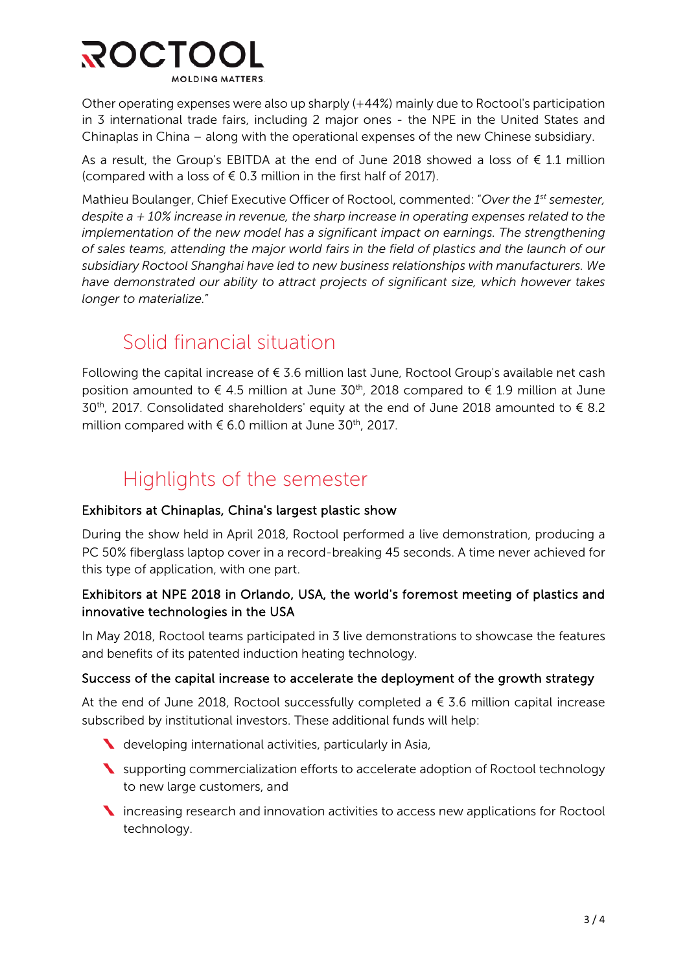

Other operating expenses were also up sharply (+44%) mainly due to Roctool's participation in 3 international trade fairs, including 2 major ones - the NPE in the United States and Chinaplas in China – along with the operational expenses of the new Chinese subsidiary.

As a result, the Group's EBITDA at the end of June 2018 showed a loss of  $\epsilon$  1.1 million (compared with a loss of  $\epsilon$  0.3 million in the first half of 2017).

Mathieu Boulanger, Chief Executive Officer of Roctool, commented: "*Over the 1st semester, despite a + 10% increase in revenue, the sharp increase in operating expenses related to the implementation of the new model has a significant impact on earnings. The strengthening of sales teams, attending the major world fairs in the field of plastics and the launch of our subsidiary Roctool Shanghai have led to new business relationships with manufacturers. We have demonstrated our ability to attract projects of significant size, which however takes longer to materialize.*"

### Solid financial situation

Following the capital increase of  $\epsilon$  3.6 million last June, Roctool Group's available net cash position amounted to  $\epsilon$  4.5 million at June 30<sup>th</sup>, 2018 compared to  $\epsilon$  1.9 million at June 30<sup>th</sup>, 2017. Consolidated shareholders' equity at the end of June 2018 amounted to  $\epsilon$  8.2 million compared with  $\epsilon$  6.0 million at June 30<sup>th</sup>, 2017.

## Highlights of the semester

#### Exhibitors at Chinaplas, China's largest plastic show

During the show held in April 2018, Roctool performed a live demonstration, producing a PC 50% fiberglass laptop cover in a record-breaking 45 seconds. A time never achieved for this type of application, with one part.

#### Exhibitors at NPE 2018 in Orlando, USA, the world's foremost meeting of plastics and innovative technologies in the USA

In May 2018, Roctool teams participated in 3 live demonstrations to showcase the features and benefits of its patented induction heating technology.

#### Success of the capital increase to accelerate the deployment of the growth strategy

At the end of June 2018, Roctool successfully completed a  $\epsilon$  3.6 million capital increase subscribed by institutional investors. These additional funds will help:

- developing international activities, particularly in Asia,
- Supporting commercialization efforts to accelerate adoption of Roctool technology to new large customers, and
- **N** increasing research and innovation activities to access new applications for Roctool technology.